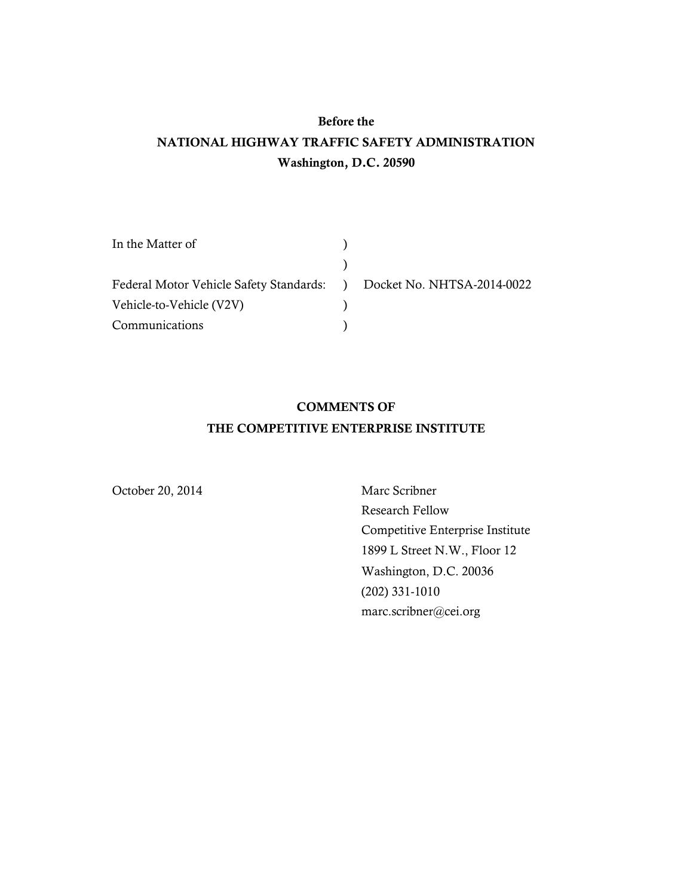# **Before the NATIONAL HIGHWAY TRAFFIC SAFETY ADMINISTRATION Washington, D.C. 20590**

| In the Matter of                                                     |  |
|----------------------------------------------------------------------|--|
|                                                                      |  |
| Federal Motor Vehicle Safety Standards: ) Docket No. NHTSA-2014-0022 |  |
| Vehicle-to-Vehicle (V2V)                                             |  |
| Communications                                                       |  |

### **COMMENTS OF THE COMPETITIVE ENTERPRISE INSTITUTE**

October 20, 2014 Marc Scribner

Research Fellow Competitive Enterprise Institute 1899 L Street N.W., Floor 12 Washington, D.C. 20036 (202) 331-1010 marc.scribner@cei.org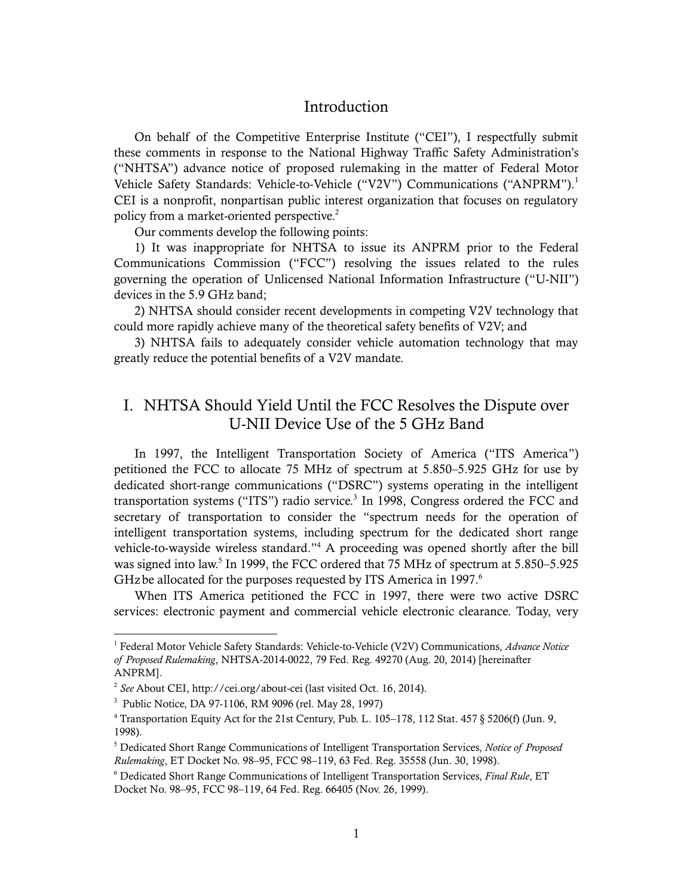#### Introduction

On behalf of the Competitive Enterprise Institute ("CEI"), I respectfully submit these comments in response to the National Highway Traffic Safety Administration's ("NHTSA") advance notice of proposed rulemaking in the matter of Federal Motor Vehicle Safety Standards: Vehicle-to-Vehicle ("V2V") Communications ("ANPRM").<sup>1</sup> CEI is a nonprofit, nonpartisan public interest organization that focuses on regulatory policy from a market-oriented perspective.<sup>2</sup>

Our comments develop the following points:

1) It was inappropriate for NHTSA to issue its ANPRM prior to the Federal Communications Commission ("FCC") resolving the issues related to the rules governing the operation of Unlicensed National Information Infrastructure ("U-NII") devices in the 5.9 GHz band;

2) NHTSA should consider recent developments in competing V2V technology that could more rapidly achieve many of the theoretical safety benefits of V2V; and

3) NHTSA fails to adequately consider vehicle automation technology that may greatly reduce the potential benefits of a V2V mandate.

### I. NHTSA Should Yield Until the FCC Resolves the Dispute over U-NII Device Use of the 5 GHz Band

In 1997, the Intelligent Transportation Society of America ("ITS America") petitioned the FCC to allocate 75 MHz of spectrum at 5.850–5.925 GHz for use by dedicated short-range communications ("DSRC") systems operating in the intelligent transportation systems ("ITS") radio service.<sup>3</sup> In 1998, Congress ordered the FCC and secretary of transportation to consider the "spectrum needs for the operation of intelligent transportation systems, including spectrum for the dedicated short range vehicle-to-wayside wireless standard." <sup>4</sup> A proceeding was opened shortly after the bill was signed into law. 5 In 1999, the FCC ordered that 75 MHz of spectrum at 5.850–5.925 GHz be allocated for the purposes requested by ITS America in 1997.<sup>6</sup>

When ITS America petitioned the FCC in 1997, there were two active DSRC services: electronic payment and commercial vehicle electronic clearance. Today, very

 $\overline{a}$ 

<sup>1</sup> Federal Motor Vehicle Safety Standards: Vehicle-to-Vehicle (V2V) Communications, *Advance Notice of Proposed Rulemaking*, NHTSA-2014-0022, 79 Fed. Reg. 49270 (Aug. 20, 2014) [hereinafter ANPRM].

<sup>2</sup> *See* About CEI, http://cei.org/about-cei (last visited Oct. 16, 2014).

<sup>3</sup> Public Notice, DA 97-1106, RM 9096 (rel. May 28, 1997)

<sup>4</sup> Transportation Equity Act for the 21st Century, Pub. L. 105–178, 112 Stat. 457 § 5206(f) (Jun. 9, 1998).

<sup>5</sup> Dedicated Short Range Communications of Intelligent Transportation Services, *Notice of Proposed Rulemaking*, ET Docket No. 98–95, FCC 98–119, 63 Fed. Reg. 35558 (Jun. 30, 1998).

<sup>6</sup> Dedicated Short Range Communications of Intelligent Transportation Services, *Final Rule*, ET Docket No. 98–95, FCC 98–119, 64 Fed. Reg. 66405 (Nov. 26, 1999).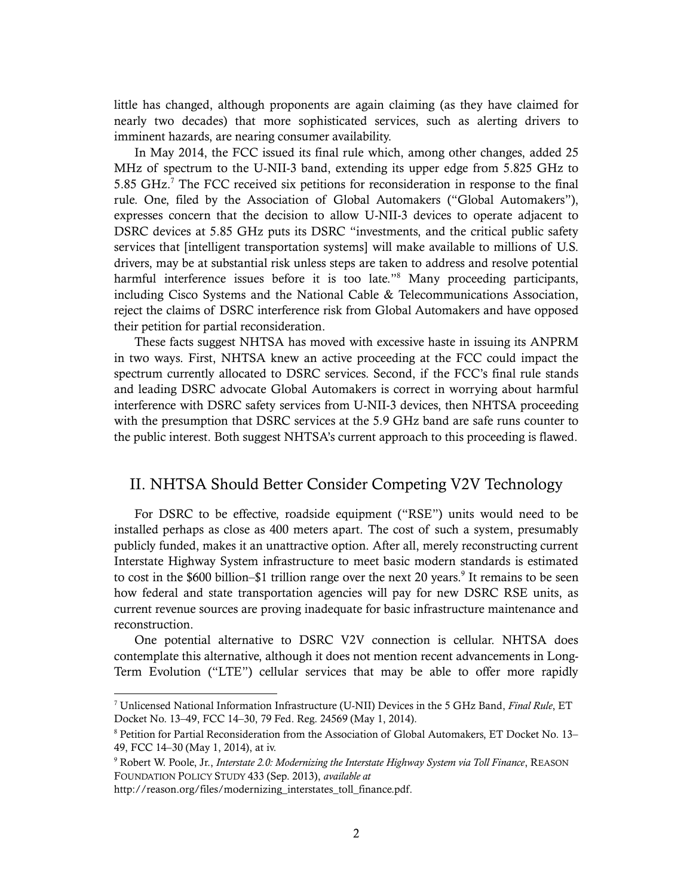little has changed, although proponents are again claiming (as they have claimed for nearly two decades) that more sophisticated services, such as alerting drivers to imminent hazards, are nearing consumer availability.

In May 2014, the FCC issued its final rule which, among other changes, added 25 MHz of spectrum to the U-NII-3 band, extending its upper edge from 5.825 GHz to 5.85 GHz. <sup>7</sup> The FCC received six petitions for reconsideration in response to the final rule. One, filed by the Association of Global Automakers ("Global Automakers"), expresses concern that the decision to allow U-NII-3 devices to operate adjacent to DSRC devices at 5.85 GHz puts its DSRC "investments, and the critical public safety services that [intelligent transportation systems] will make available to millions of U.S. drivers, may be at substantial risk unless steps are taken to address and resolve potential harmful interference issues before it is too late."<sup>8</sup> Many proceeding participants, including Cisco Systems and the National Cable & Telecommunications Association, reject the claims of DSRC interference risk from Global Automakers and have opposed their petition for partial reconsideration.

These facts suggest NHTSA has moved with excessive haste in issuing its ANPRM in two ways. First, NHTSA knew an active proceeding at the FCC could impact the spectrum currently allocated to DSRC services. Second, if the FCC's final rule stands and leading DSRC advocate Global Automakers is correct in worrying about harmful interference with DSRC safety services from U-NII-3 devices, then NHTSA proceeding with the presumption that DSRC services at the 5.9 GHz band are safe runs counter to the public interest. Both suggest NHTSA's current approach to this proceeding is flawed.

#### II. NHTSA Should Better Consider Competing V2V Technology

For DSRC to be effective, roadside equipment ("RSE") units would need to be installed perhaps as close as 400 meters apart. The cost of such a system, presumably publicly funded, makes it an unattractive option. After all, merely reconstructing current Interstate Highway System infrastructure to meet basic modern standards is estimated to cost in the \$600 billion–\$1 trillion range over the next 20 years.<sup>9</sup> It remains to be seen how federal and state transportation agencies will pay for new DSRC RSE units, as current revenue sources are proving inadequate for basic infrastructure maintenance and reconstruction.

One potential alternative to DSRC V2V connection is cellular. NHTSA does contemplate this alternative, although it does not mention recent advancements in Long-Term Evolution ("LTE") cellular services that may be able to offer more rapidly

<sup>7</sup> Unlicensed National Information Infrastructure (U-NII) Devices in the 5 GHz Band, *Final Rule*, ET Docket No. 13–49, FCC 14–30, 79 Fed. Reg. 24569 (May 1, 2014).

<sup>8</sup> Petition for Partial Reconsideration from the Association of Global Automakers, ET Docket No. 13– 49, FCC 14–30 (May 1, 2014), at iv.

<sup>9</sup> Robert W. Poole, Jr., *Interstate 2.0: Modernizing the Interstate Highway System via Toll Finance*, REASON FOUNDATION POLICY STUDY 433 (Sep. 2013), *available at*

http://reason.org/files/modernizing\_interstates\_toll\_finance.pdf.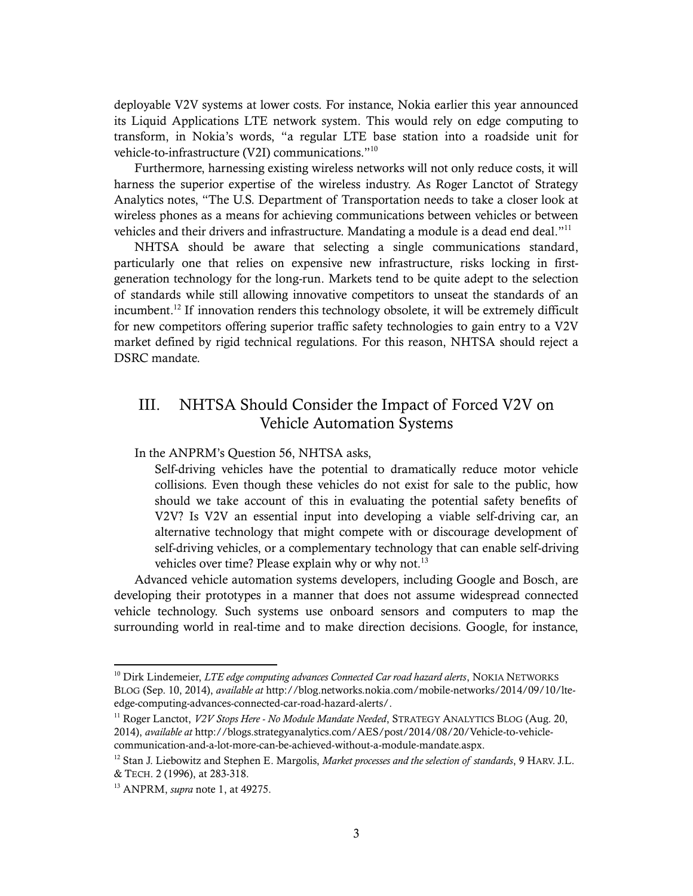deployable V2V systems at lower costs. For instance, Nokia earlier this year announced its Liquid Applications LTE network system. This would rely on edge computing to transform, in Nokia's words, "a regular LTE base station into a roadside unit for vehicle-to-infrastructure (V2I) communications."<sup>10</sup>

Furthermore, harnessing existing wireless networks will not only reduce costs, it will harness the superior expertise of the wireless industry. As Roger Lanctot of Strategy Analytics notes, "The U.S. Department of Transportation needs to take a closer look at wireless phones as a means for achieving communications between vehicles or between vehicles and their drivers and infrastructure. Mandating a module is a dead end deal."<sup>11</sup>

NHTSA should be aware that selecting a single communications standard, particularly one that relies on expensive new infrastructure, risks locking in firstgeneration technology for the long-run. Markets tend to be quite adept to the selection of standards while still allowing innovative competitors to unseat the standards of an incumbent. <sup>12</sup> If innovation renders this technology obsolete, it will be extremely difficult for new competitors offering superior traffic safety technologies to gain entry to a V2V market defined by rigid technical regulations. For this reason, NHTSA should reject a DSRC mandate.

### III. NHTSA Should Consider the Impact of Forced V2V on Vehicle Automation Systems

In the ANPRM's Question 56, NHTSA asks,

Self-driving vehicles have the potential to dramatically reduce motor vehicle collisions. Even though these vehicles do not exist for sale to the public, how should we take account of this in evaluating the potential safety benefits of V2V? Is V2V an essential input into developing a viable self-driving car, an alternative technology that might compete with or discourage development of self-driving vehicles, or a complementary technology that can enable self-driving vehicles over time? Please explain why or why not. $^{13}$ 

Advanced vehicle automation systems developers, including Google and Bosch, are developing their prototypes in a manner that does not assume widespread connected vehicle technology. Such systems use onboard sensors and computers to map the surrounding world in real-time and to make direction decisions. Google, for instance,

<sup>11</sup> Roger Lanctot, *V2V Stops Here - No Module Mandate Needed*, STRATEGY ANALYTICS BLOG (Aug. 20, 2014), *available at* http://blogs.strategyanalytics.com/AES/post/2014/08/20/Vehicle-to-vehiclecommunication-and-a-lot-more-can-be-achieved-without-a-module-mandate.aspx.

 $\overline{a}$ 

<sup>&</sup>lt;sup>10</sup> Dirk Lindemeier, *LTE edge computing advances Connected Car road hazard alerts*, NOKIA NETWORKS BLOG (Sep. 10, 2014), *available at* http://blog.networks.nokia.com/mobile-networks/2014/09/10/lteedge-computing-advances-connected-car-road-hazard-alerts/.

<sup>12</sup> Stan J. Liebowitz and Stephen E. Margolis, *Market processes and the selection of standards*, 9 HARV. J.L. & TECH. 2 (1996), at 283-318.

<sup>13</sup> ANPRM, *supra* note 1, at 49275.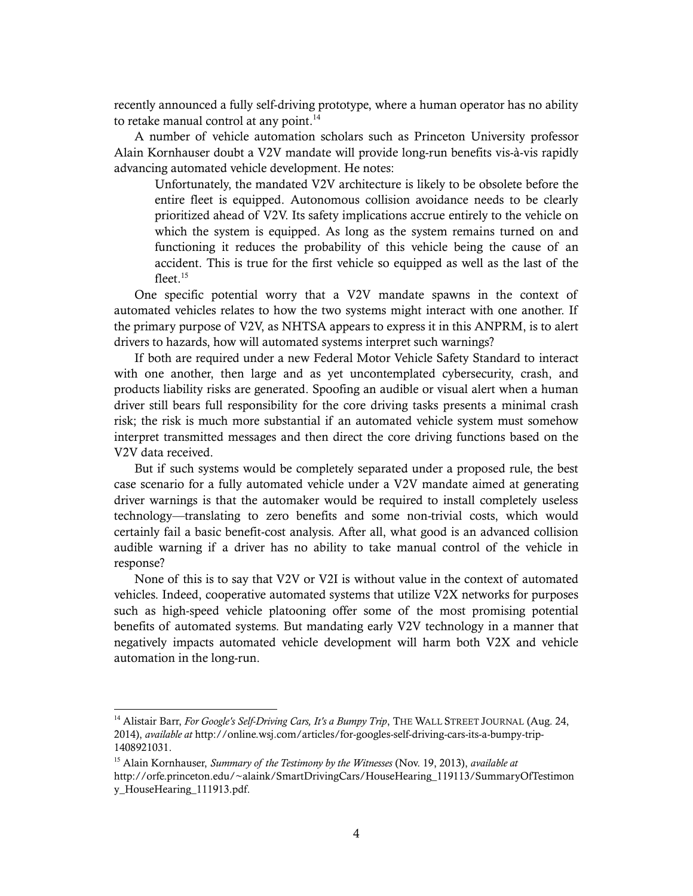recently announced a fully self-driving prototype, where a human operator has no ability to retake manual control at any point. $^{14}$ 

A number of vehicle automation scholars such as Princeton University professor Alain Kornhauser doubt a V2V mandate will provide long-run benefits vis-à-vis rapidly advancing automated vehicle development. He notes:

Unfortunately, the mandated V2V architecture is likely to be obsolete before the entire fleet is equipped. Autonomous collision avoidance needs to be clearly prioritized ahead of V2V. Its safety implications accrue entirely to the vehicle on which the system is equipped. As long as the system remains turned on and functioning it reduces the probability of this vehicle being the cause of an accident. This is true for the first vehicle so equipped as well as the last of the fleet $15$ 

One specific potential worry that a V2V mandate spawns in the context of automated vehicles relates to how the two systems might interact with one another. If the primary purpose of V2V, as NHTSA appears to express it in this ANPRM, is to alert drivers to hazards, how will automated systems interpret such warnings?

If both are required under a new Federal Motor Vehicle Safety Standard to interact with one another, then large and as yet uncontemplated cybersecurity, crash, and products liability risks are generated. Spoofing an audible or visual alert when a human driver still bears full responsibility for the core driving tasks presents a minimal crash risk; the risk is much more substantial if an automated vehicle system must somehow interpret transmitted messages and then direct the core driving functions based on the V2V data received.

But if such systems would be completely separated under a proposed rule, the best case scenario for a fully automated vehicle under a V2V mandate aimed at generating driver warnings is that the automaker would be required to install completely useless technology—translating to zero benefits and some non-trivial costs, which would certainly fail a basic benefit-cost analysis. After all, what good is an advanced collision audible warning if a driver has no ability to take manual control of the vehicle in response?

None of this is to say that V2V or V2I is without value in the context of automated vehicles. Indeed, cooperative automated systems that utilize V2X networks for purposes such as high-speed vehicle platooning offer some of the most promising potential benefits of automated systems. But mandating early V2V technology in a manner that negatively impacts automated vehicle development will harm both V2X and vehicle automation in the long-run.

<sup>&</sup>lt;sup>14</sup> Alistair Barr, *For Google's Self-Driving Cars, It's a Bumpy Trip*, THE WALL STREET JOURNAL (Aug. 24, 2014), *available at* http://online.wsj.com/articles/for-googles-self-driving-cars-its-a-bumpy-trip-1408921031.

<sup>15</sup> Alain Kornhauser, *Summary of the Testimony by the Witnesses* (Nov. 19, 2013), *available at* http://orfe.princeton.edu/~alaink/SmartDrivingCars/HouseHearing\_119113/SummaryOfTestimon y\_HouseHearing\_111913.pdf.